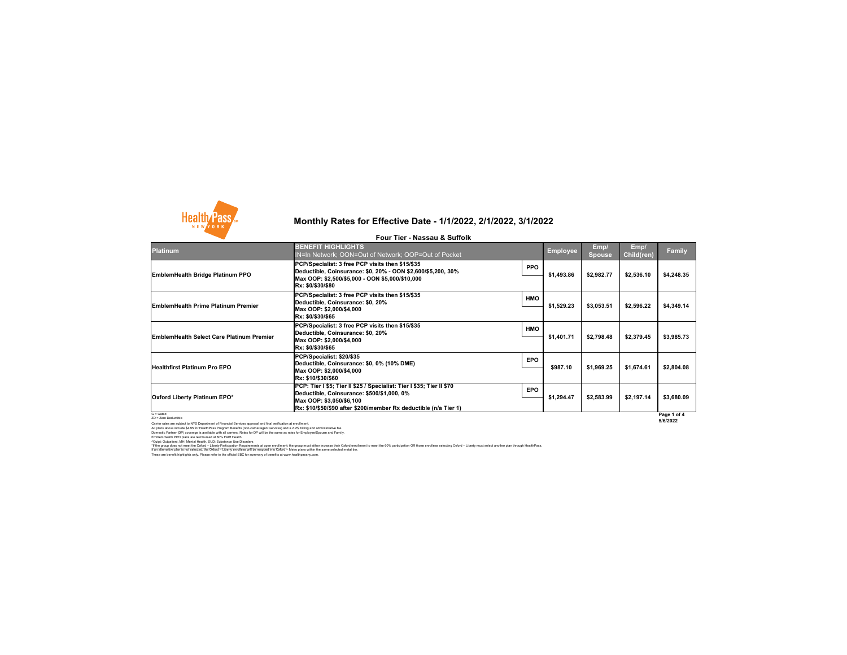

### **Platinum**

G = Gated ZD = Zero Deductible

Carrier rates are subject to NYS Department of Financial Services approval and final verification at enrollment. All plans above include \$4.95 for HealthPass Program Benefits (non-carrier/agent services) and a 2.9% billing and administrative fee. Domestic Partner (DP) coverage is available with all carriers. Rates for DP will be the same as rates for Employee/Spouse and Family. EmblemHealth PPO plans are reimbursed at 80% FAIR Health.

^Outpt: Outpatient, MH: Mental Health, SUD: Substance Use Disorders

**EmblemHealth Bridge Platinum PPO**

**EmblemHealth Prime Platinum Premier** 

**Healthfirst Platinum Pro EPO**

**EmblemHealth Select Care Platinum Premier** 

| <b>BENEFIT HIGHLIGHTS</b><br><b>IN=In Network; OON=Out of Network; OOP=Out of Pocket</b>                                                                                                                            |            | <b>Employee</b> | Emp/<br><b>Spouse</b> | Emp/<br><b>Child(ren)</b> | <b>Family</b>             |
|---------------------------------------------------------------------------------------------------------------------------------------------------------------------------------------------------------------------|------------|-----------------|-----------------------|---------------------------|---------------------------|
| PCP/Specialist: 3 free PCP visits then \$15/\$35<br>Deductible, Coinsurance: \$0, 20% - OON \$2,600/\$5,200, 30%<br>Max OOP: \$2,500/\$5,000 - OON \$5,000/\$10,000<br>Rx: \$0/\$30/\$80                            | <b>PPO</b> | \$1,493.86      | \$2,982.77            | \$2,536.10                | \$4,248.35                |
| PCP/Specialist: 3 free PCP visits then \$15/\$35<br>Deductible, Coinsurance: \$0, 20%<br>Max OOP: \$2,000/\$4,000<br>Rx: \$0/\$30/\$65                                                                              | <b>HMO</b> | \$1,529.23      | \$3,053.51            | \$2,596.22                | \$4,349.14                |
| PCP/Specialist: 3 free PCP visits then \$15/\$35<br>Deductible, Coinsurance: \$0, 20%<br>Max OOP: \$2,000/\$4,000<br>Rx: \$0/\$30/\$65                                                                              | <b>HMO</b> | \$1,401.71      | \$2,798.48            | \$2,379.45                | \$3,985.73                |
| PCP/Specialist: \$20/\$35<br>Deductible, Coinsurance: \$0, 0% (10% DME)<br>Max OOP: \$2,000/\$4,000<br><b>Rx: \$10/\$30/\$60</b>                                                                                    | <b>EPO</b> | \$987.10        | \$1,969.25            | \$1,674.61                | \$2,804.08                |
| PCP: Tier I \$5; Tier II \$25 / Specialist: Tier I \$35; Tier II \$70<br>Deductible, Coinsurance: \$500/\$1,000, 0%<br>Max OOP: \$3,050/\$6,100<br>Rx: \$10/\$50/\$90 after \$200/member Rx deductible (n/a Tier 1) | <b>EPO</b> | \$1,294.47      | \$2,583.99            | \$2,197.14                | \$3,680.09<br>Page 1 of 4 |

These are benefit highlights only. Please refer to the official SBC for summary of benefits at www.healthpassny.com. \*If the group does not meet the Oxford – Liberty Participation Requirements at open enrollment: the group must either increase their Oxford enrollment to meet the 60% participation OR those enrollees selecting Oxford – Lib If an alternative plan is not selected, the Oxford – Liberty enrollees will be mapped into Oxford – Metro plans within the same selected metal tier.

### **Oxford Liberty Platinum EPO\***

# **Monthly Rates for Effective Date - 1/1/2022, 2/1/2022, 3/1/2022**

**Four Tier - Nassau & Suffolk**

**Page 1 of 4 5/6/2022**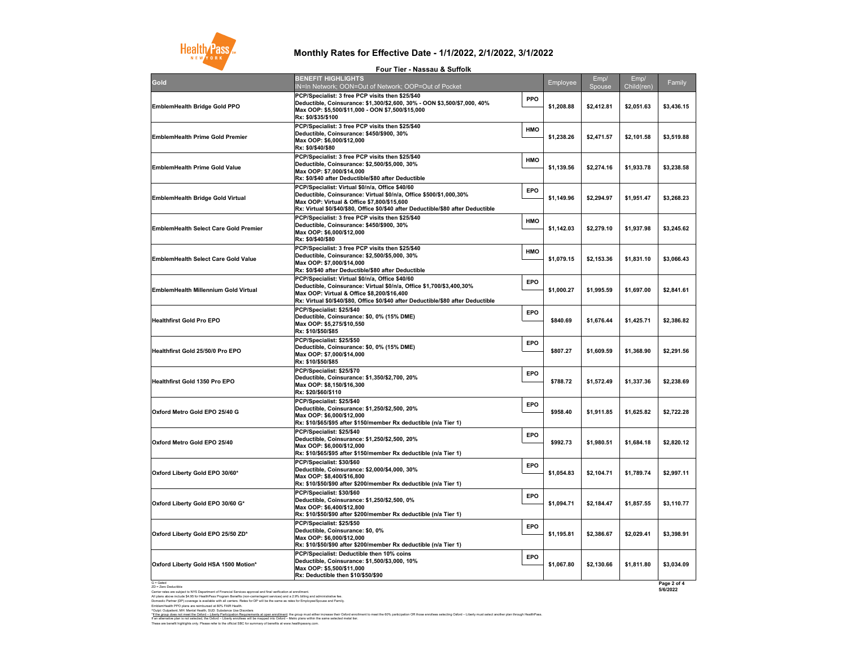G = Gated ZD = Zero Deductible

These are benefit highlights only. Please refer to the official SBC for summary of benefits at www.healthpassny.com. \*<u>If the group does not meet the Oxford – Liberty Participation Requirements at open enrollment</u>: the group must either increase their Oxford enrollment to meet the 60% participation OR those enrollees selecting Oxford – L If an alternative plan is not selected, the Oxford – Liberty enrollees will be mapped into Oxford – Metro plans within the same selected metal tier.

Carrier rates are subject to NYS Department of Financial Services approval and final verification at enrollment. All plans above include \$4.95 for HealthPass Program Benefits (non-carrier/agent services) and a 2.9% billing and administrative fee. Domestic Partner (DP) coverage is available with all carriers. Rates for DP will be the same as rates for Employee/Spouse and Family. EmblemHealth PPO plans are reimbursed at 80% FAIR Health. ^Outpt: Outpatient, MH: Mental Health, SUD: Substance Use Disorders



| <b>Gold</b>                                  | T YUL TIGI TINUSSUU U VUIIVIN<br><b>BENEFIT HIGHLIGHTS</b>                                                                                                                                                                                                   |            | Employee   | Emp/       | Emp/       | Family     |
|----------------------------------------------|--------------------------------------------------------------------------------------------------------------------------------------------------------------------------------------------------------------------------------------------------------------|------------|------------|------------|------------|------------|
|                                              | IN=In Network; OON=Out of Network; OOP=Out of Pocket                                                                                                                                                                                                         |            |            | Spouse     | Child(ren) |            |
| <b>EmblemHealth Bridge Gold PPO</b>          | PCP/Specialist: 3 free PCP visits then \$25/\$40<br> Deductible, Coinsurance: \$1,300/\$2,600, 30% - OON \$3,500/\$7,000, 40%<br>Max OOP: \$5,500/\$11,000 - OON \$7,500/\$15,000<br> Rx: \$0/\$35/\$100                                                     | <b>PPO</b> | \$1,208.88 | \$2,412.81 | \$2,051.63 | \$3,436.15 |
| <b>EmblemHealth Prime Gold Premier</b>       | PCP/Specialist: 3 free PCP visits then \$25/\$40<br>Deductible, Coinsurance: \$450/\$900, 30%<br>Max OOP: \$6,000/\$12,000<br> Rx: \$0/\$40/\$80                                                                                                             | <b>HMO</b> | \$1,238.26 | \$2,471.57 | \$2,101.58 | \$3,519.88 |
| <b>EmblemHealth Prime Gold Value</b>         | PCP/Specialist: 3 free PCP visits then \$25/\$40<br>Deductible, Coinsurance: \$2,500/\$5,000, 30%<br>Max OOP: \$7,000/\$14,000<br><b>Rx: \$0/\$40 after Deductible/\$80 after Deductible</b>                                                                 | <b>HMO</b> | \$1,139.56 | \$2,274.16 | \$1,933.78 | \$3,238.58 |
| <b>EmblemHealth Bridge Gold Virtual</b>      | PCP/Specialist: Virtual \$0/n/a, Office \$40/60<br> Deductible, Coinsurance: Virtual \$0/n/a, Office \$500/\$1,000,30%<br>Max OOP: Virtual & Office \$7,800/\$15,600<br> Rx: Virtual \$0/\$40/\$80, Office \$0/\$40 after Deductible/\$80 after Deductible   | <b>EPO</b> | \$1,149.96 | \$2,294.97 | \$1,951.47 | \$3,268.23 |
| <b>EmblemHealth Select Care Gold Premier</b> | <b>PCP/Specialist: 3 free PCP visits then \$25/\$40</b><br>Deductible, Coinsurance: \$450/\$900, 30%<br>Max OOP: \$6,000/\$12,000<br> Rx: \$0/\$40/\$80                                                                                                      | <b>HMO</b> | \$1,142.03 | \$2,279.10 | \$1,937.98 | \$3,245.62 |
| <b>EmblemHealth Select Care Gold Value</b>   | <b>PCP/Specialist: 3 free PCP visits then \$25/\$40</b><br>Deductible, Coinsurance: \$2,500/\$5,000, 30%<br>Max OOP: \$7,000/\$14,000<br> Rx: \$0/\$40 after Deductible/\$80 after Deductible                                                                | <b>HMO</b> | \$1,079.15 | \$2,153.36 | \$1,831.10 | \$3,066.43 |
| <b>EmblemHealth Millennium Gold Virtual</b>  | PCP/Specialist: Virtual \$0/n/a, Office \$40/60<br> Deductible, Coinsurance: Virtual \$0/n/a, Office \$1,700/\$3,400,30%<br> Max OOP: Virtual & Office \$8,200/\$16,400<br>Rx: Virtual \$0/\$40/\$80, Office \$0/\$40 after Deductible/\$80 after Deductible | <b>EPO</b> | \$1,000.27 | \$1,995.59 | \$1,697.00 | \$2,841.61 |
| <b>Healthfirst Gold Pro EPO</b>              | PCP/Specialist: \$25/\$40<br> Deductible, Coinsurance: \$0, 0% (15% DME) <br>Max OOP: \$5,275/\$10,550<br> Rx: \$10/\$50/\$85                                                                                                                                | <b>EPO</b> | \$840.69   | \$1,676.44 | \$1,425.71 | \$2,386.82 |
| <b>Healthfirst Gold 25/50/0 Pro EPO</b>      | PCP/Specialist: \$25/\$50 <br> Deductible, Coinsurance: \$0, 0% (15% DME)  <br>Max OOP: \$7,000/\$14,000<br>Rx: \$10/\$50/\$85                                                                                                                               | <b>EPO</b> | \$807.27   | \$1,609.59 | \$1,368.90 | \$2,291.56 |
| <b>Healthfirst Gold 1350 Pro EPO</b>         | PCP/Specialist: \$25/\$70<br>Deductible, Coinsurance: \$1,350/\$2,700, 20%<br>Max OOP: \$8,150/\$16,300<br> Rx: \$20/\$60/\$110                                                                                                                              | <b>EPO</b> | \$788.72   | \$1,572.49 | \$1,337.36 | \$2,238.69 |
| Oxford Metro Gold EPO 25/40 G                | PCP/Specialist: \$25/\$40<br>Deductible, Coinsurance: \$1,250/\$2,500, 20%<br>Max OOP: \$6,000/\$12,000<br> Rx: \$10/\$65/\$95 after \$150/member Rx deductible (n/a Tier 1)                                                                                 | <b>EPO</b> | \$958.40   | \$1,911.85 | \$1,625.82 | \$2,722.28 |
| Oxford Metro Gold EPO 25/40                  | PCP/Specialist: \$25/\$40<br>Deductible, Coinsurance: \$1,250/\$2,500, 20%<br>Max OOP: \$6,000/\$12,000<br> Rx: \$10/\$65/\$95 after \$150/member Rx deductible (n/a Tier 1)                                                                                 | <b>EPO</b> | \$992.73   | \$1,980.51 | \$1,684.18 | \$2,820.12 |
| Oxford Liberty Gold EPO 30/60*               | <b>PCP/Specialist: \$30/\$60</b><br>Deductible, Coinsurance: \$2,000/\$4,000, 30%<br>Max OOP: \$8,400/\$16,800<br> Rx: \$10/\$50/\$90 after \$200/member Rx deductible (n/a Tier 1)_                                                                         | <b>EPO</b> | \$1,054.83 | \$2,104.71 | \$1,789.74 | \$2,997.11 |
| Oxford Liberty Gold EPO 30/60 G*             | PCP/Specialist: \$30/\$60<br>Deductible, Coinsurance: \$1,250/\$2,500, 0%<br>Max OOP: \$6,400/\$12,800<br> Rx: \$10/\$50/\$90 after \$200/member Rx deductible (n/a Tier 1)                                                                                  | <b>EPO</b> | \$1,094.71 | \$2,184.47 | \$1,857.55 | \$3,110.77 |
| Oxford Liberty Gold EPO 25/50 ZD*            | PCP/Specialist: \$25/\$50<br>Deductible, Coinsurance: \$0, 0%<br> Max OOP: \$6,000/\$12,000<br> Rx: \$10/\$50/\$90 after \$200/member Rx deductible (n/a Tier 1)                                                                                             | <b>EPO</b> | \$1,195.81 | \$2,386.67 | \$2,029.41 | \$3,398.91 |
| Oxford Liberty Gold HSA 1500 Motion*         | <b>PCP/Specialist: Deductible then 10% coins</b><br>Deductible, Coinsurance: \$1,500/\$3,000, 10%<br> Max OOP: \$5,500/\$11,000<br><b>Rx: Deductible then \$10/\$50/\$90</b>                                                                                 | <b>EPO</b> | \$1,067.80 | \$2,130.66 | \$1,811.80 | \$3,034.09 |

## **Monthly Rates for Effective Date - 1/1/2022, 2/1/2022, 3/1/2022**

### **Four Tier - Nassau & Suffolk**

**Page 2 of 4 5/6/2022**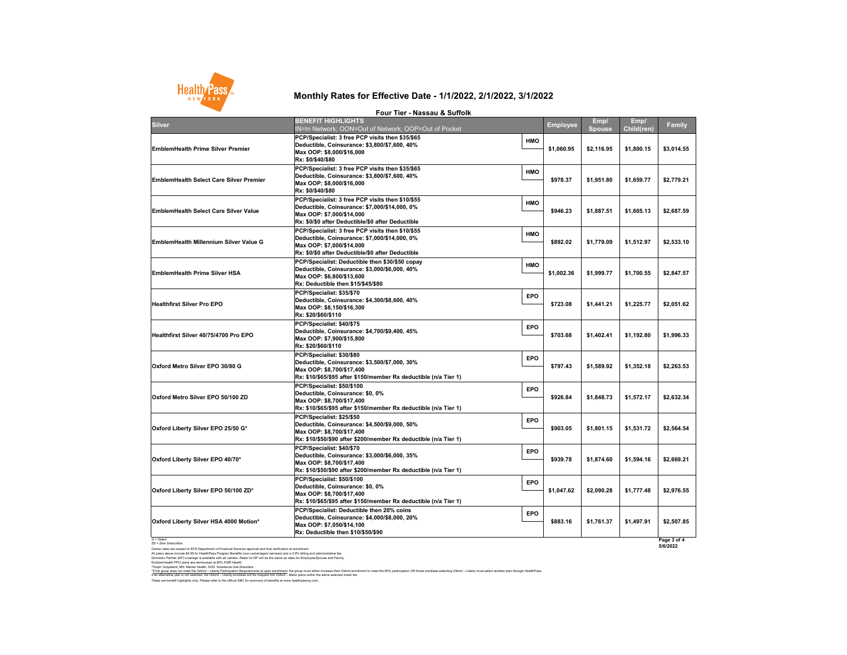G = Gated ZD = Zero Deductible

Carrier rates are subject to NYS Department of Financial Services approval and final verification at enrollment. All plans above include \$4.95 for HealthPass Program Benefits (non-carrier/agent services) and a 2.9% billing and administrative fee. Domestic Partner (DP) coverage is available with all carriers. Rates for DP will be the same as rates for Employee/Spouse and Family. EmblemHealth PPO plans are reimbursed at 80% FAIR Health.

^Outpt: Outpatient, MH: Mental Health, SUD: Substance Use Disorders

## **Monthly Rates for Effective Date - 1/1/2022, 2/1/2022, 3/1/2022**

**Four Tier - Nassau & Suffolk**



| <b>Silver</b>                                  | <b>BENEFIT HIGHLIGHTS</b><br>IN=In Network; OON=Out of Network; OOP=Out of Pocket                                                                                                                 |            | <b>Employee</b> | Emp/<br><b>Spouse</b> | Emp/<br><b>Child(ren)</b> | <b>Family</b> |
|------------------------------------------------|---------------------------------------------------------------------------------------------------------------------------------------------------------------------------------------------------|------------|-----------------|-----------------------|---------------------------|---------------|
| <b>EmblemHealth Prime Silver Premier</b>       | <b>PCP/Specialist: 3 free PCP visits then \$35/\$65</b><br>Deductible, Coinsurance: \$3,800/\$7,600, 40%<br>Max OOP: \$8,000/\$16,000<br> Rx: \$0/\$40/\$80                                       | <b>HMO</b> | \$1,060.95      | \$2,116.95            | \$1,800.15                | \$3,014.55    |
| <b>EmblemHealth Select Care Silver Premier</b> | <b>PCP/Specialist: 3 free PCP visits then \$35/\$65</b><br>Deductible, Coinsurance: \$3,800/\$7,600, 40%<br>Max OOP: \$8,000/\$16,000<br> Rx: \$0/\$40/\$80                                       | <b>HMO</b> | \$978.37        | \$1,951.80            | \$1,659.77                | \$2,779.21    |
| <b>EmblemHealth Select Care Silver Value</b>   | <b>PCP/Specialist: 3 free PCP visits then \$10/\$55</b><br>Deductible, Coinsurance: \$7,000/\$14,000, 0%<br>Max OOP: \$7,000/\$14,000<br><b>Rx: \$0/\$0 after Deductible/\$0 after Deductible</b> | <b>HMO</b> | \$946.23        | \$1,887.51            | \$1,605.13                | \$2,687.59    |
| <b>EmblemHealth Millennium Silver Value G</b>  | <b>PCP/Specialist: 3 free PCP visits then \$10/\$55</b><br>Deductible, Coinsurance: \$7,000/\$14,000, 0%<br>Max OOP: \$7,000/\$14,000<br><b>Rx: \$0/\$0 after Deductible/\$0 after Deductible</b> | <b>HMO</b> | \$892.02        | \$1,779.09            | \$1,512.97                | \$2,533.10    |
| <b>EmblemHealth Prime Silver HSA</b>           | PCP/Specialist: Deductible then \$30/\$50 copay<br>Deductible, Coinsurance: \$3,000/\$6,000, 40%<br>Max OOP: \$6,800/\$13,600 M<br><b>Rx: Deductible then \$15/\$45/\$80</b>                      | <b>HMO</b> | \$1,002.36      | \$1,999.77            | \$1,700.55                | \$2,847.57    |
| <b>Healthfirst Silver Pro EPO</b>              | <b>PCP/Specialist: \$35/\$70</b><br>Deductible, Coinsurance: \$4,300/\$8,600, 40%<br>Max OOP: \$8,150/\$16,300<br><b>Rx: \$20/\$60/\$110</b>                                                      | <b>EPO</b> | \$723.08        | \$1,441.21            | \$1,225.77                | \$2,051.62    |
| Healthfirst Silver 40/75/4700 Pro EPO          | PCP/Specialist: \$40/\$75<br>Deductible, Coinsurance: \$4,700/\$9,400, 45%<br>Max OOP: \$7,900/\$15,800 M<br><b>Rx: \$20/\$60/\$110</b>                                                           | <b>EPO</b> | \$703.68        | \$1,402.41            | \$1,192.80                | \$1,996.33    |
| Oxford Metro Silver EPO 30/80 G                | PCP/Specialist: \$30/\$80<br>Deductible, Coinsurance: \$3,500/\$7,000, 30%<br>Max OOP: \$8,700/\$17,400 <br> Rx: \$10/\$65/\$95 after \$150/member Rx deductible (n/a Tier 1)                     | <b>EPO</b> | \$797.43        | \$1,589.92            | \$1,352.18                | \$2,263.53    |
| Oxford Metro Silver EPO 50/100 ZD              | PCP/Specialist: \$50/\$100<br>Deductible, Coinsurance: \$0, 0%<br>Max OOP: \$8,700/\$17,400 <br>$Rx: $10/$65/$95 after $150/member Rx deductible (n/a Tier 1)$                                    | <b>EPO</b> | \$926.84        | \$1,848.73            | \$1,572.17                | \$2,632.34    |
| Oxford Liberty Silver EPO 25/50 G*             | PCP/Specialist: \$25/\$50<br>Deductible, Coinsurance: \$4,500/\$9,000, 50%<br>Max OOP: \$8,700/\$17,400<br> Rx: \$10/\$50/\$90 after \$200/member Rx deductible (n/a Tier 1)                      | <b>EPO</b> | \$903.05        | \$1,801.15            | \$1,531.72                | \$2,564.54    |
| Oxford Liberty Silver EPO 40/70*               | <b>PCP/Specialist: \$40/\$70</b><br>Deductible, Coinsurance: \$3,000/\$6,000, 35%<br>Max OOP: \$8,700/\$17,400<br> Rx: \$10/\$50/\$90 after \$200/member Rx deductible (n/a Tier 1)               | <b>EPO</b> | \$939.78        | \$1,874.60            | \$1,594.16                | \$2,669.21    |
| Oxford Liberty Silver EPO 50/100 ZD*           | PCP/Specialist: \$50/\$100<br>Deductible, Coinsurance: \$0, 0%<br>Max OOP: \$8,700/\$17,400 M<br> Rx: \$10/\$65/\$95 after \$150/member Rx deductible (n/a Tier 1)                                | <b>EPO</b> | \$1,047.62      | \$2,090.28            | \$1,777.48                | \$2,976.55    |
| Oxford Liberty Silver HSA 4000 Motion*         | <b>PCP/Specialist: Deductible then 20% coins</b><br> Deductible, Coinsurance: \$4,000/\$8,000, 20%<br>Max OOP: \$7,050/\$14,100 M<br><b>Rx: Deductible then \$10/\$50/\$90</b>                    | <b>EPO</b> | \$883.16        | \$1,761.37            | \$1,497.91                | \$2,507.85    |
| $G =$ Gated                                    |                                                                                                                                                                                                   |            |                 |                       |                           | Page 3 of 4   |

These are benefit highlights only. Please refer to the official SBC for summary of benefits at www.healthpassny.com. \*<u>If the group does not meet the Oxford – Liberty Participation Requirements at open enrollment</u>: the group must either increase their Oxford enrollment to meet the 60% participation OR those enrollees selecting Oxford – L If an alternative plan is not selected, the Oxford – Liberty enrollees will be mapped into Oxford – Metro plans within the same selected metal tier.

**5/6/2022**